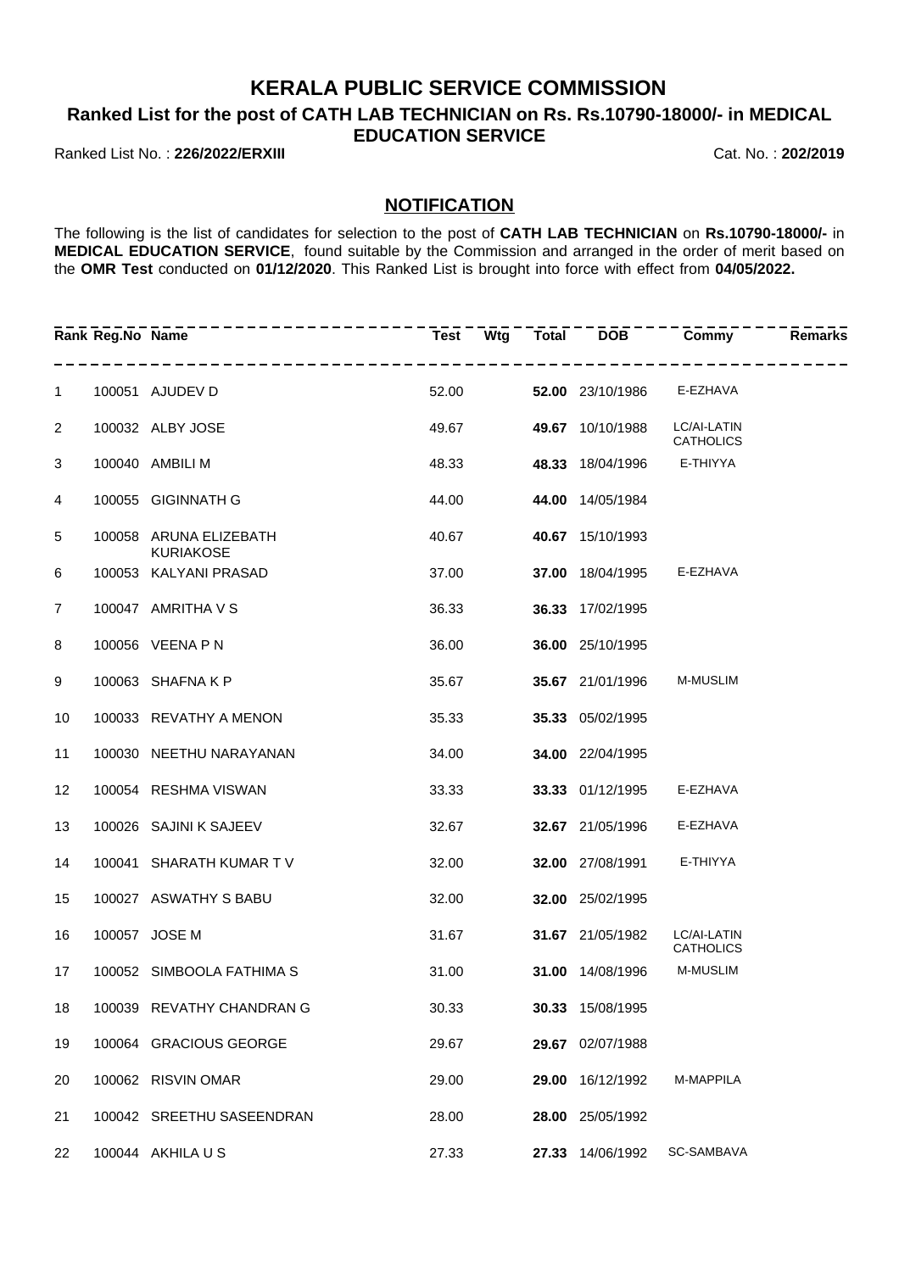### **KERALA PUBLIC SERVICE COMMISSION**

**Ranked List for the post of CATH LAB TECHNICIAN on Rs. Rs.10790-18000/- in MEDICAL**

**EDUCATION SERVICE**

#### Ranked List No. : **226/2022/ERXIII** Cat. No. : **202/2019**

### **NOTIFICATION**

The following is the list of candidates for selection to the post of **CATH LAB TECHNICIAN** on **Rs.10790-18000/-** in **MEDICAL EDUCATION SERVICE**, found suitable by the Commission and arranged in the order of merit based on the **OMR Test** conducted on **01/12/2020**. This Ranked List is brought into force with effect from **04/05/2022.**

|                 | Rank Reg.No Name |                                            | Test  |       |                  | Wtg Total DOB Commy             | <b>Remarks</b> |
|-----------------|------------------|--------------------------------------------|-------|-------|------------------|---------------------------------|----------------|
| $\mathbf{1}$    |                  | ----------------<br>100051 AJUDEV D        | 52.00 |       | 52.00 23/10/1986 | E-EZHAVA                        |                |
| 2               |                  | 100032 ALBY JOSE                           | 49.67 |       | 49.67 10/10/1988 | LC/AI-LATIN<br><b>CATHOLICS</b> |                |
| 3               |                  | 100040 AMBILI M                            | 48.33 |       | 48.33 18/04/1996 | E-THIYYA                        |                |
| 4               |                  | 100055 GIGINNATH G                         | 44.00 |       | 44.00 14/05/1984 |                                 |                |
| 5               |                  | 100058 ARUNA ELIZEBATH<br><b>KURIAKOSE</b> | 40.67 |       | 40.67 15/10/1993 |                                 |                |
| 6               |                  | 100053 KALYANI PRASAD                      | 37.00 |       | 37.00 18/04/1995 | E-EZHAVA                        |                |
| $\overline{7}$  |                  | 100047 AMRITHA V S                         | 36.33 |       | 36.33 17/02/1995 |                                 |                |
| 8               |                  | 100056 VEENA P N                           | 36.00 |       | 36.00 25/10/1995 |                                 |                |
| 9               |                  | 100063 SHAFNA K P                          | 35.67 |       | 35.67 21/01/1996 | <b>M-MUSLIM</b>                 |                |
| 10              |                  | 100033 REVATHY A MENON                     | 35.33 |       | 35.33 05/02/1995 |                                 |                |
| 11              |                  | 100030 NEETHU NARAYANAN                    | 34.00 |       | 34.00 22/04/1995 |                                 |                |
| 12 <sup>2</sup> |                  | 100054 RESHMA VISWAN                       | 33.33 |       | 33.33 01/12/1995 | E-EZHAVA                        |                |
| 13              |                  | 100026 SAJINI K SAJEEV                     | 32.67 |       | 32.67 21/05/1996 | E-EZHAVA                        |                |
| 14              |                  | 100041 SHARATH KUMAR TV                    | 32.00 |       | 32.00 27/08/1991 | E-THIYYA                        |                |
| 15              |                  | 100027 ASWATHY S BABU                      | 32.00 |       | 32.00 25/02/1995 |                                 |                |
| 16              |                  | 100057 JOSE M                              | 31.67 |       | 31.67 21/05/1982 | LC/AI-LATIN<br><b>CATHOLICS</b> |                |
| 17              |                  | 100052 SIMBOOLA FATHIMA S                  | 31.00 |       | 31.00 14/08/1996 | <b>M-MUSLIM</b>                 |                |
| 18              |                  | 100039 REVATHY CHANDRAN G                  | 30.33 |       | 30.33 15/08/1995 |                                 |                |
| 19              |                  | 100064 GRACIOUS GEORGE                     | 29.67 |       | 29.67 02/07/1988 |                                 |                |
| 20              |                  | 100062 RISVIN OMAR                         | 29.00 |       | 29.00 16/12/1992 | M-MAPPILA                       |                |
| 21              |                  | 100042 SREETHU SASEENDRAN                  | 28.00 |       | 28.00 25/05/1992 |                                 |                |
| 22              |                  | 100044 AKHILA U S                          | 27.33 | 27.33 | 14/06/1992       | SC-SAMBAVA                      |                |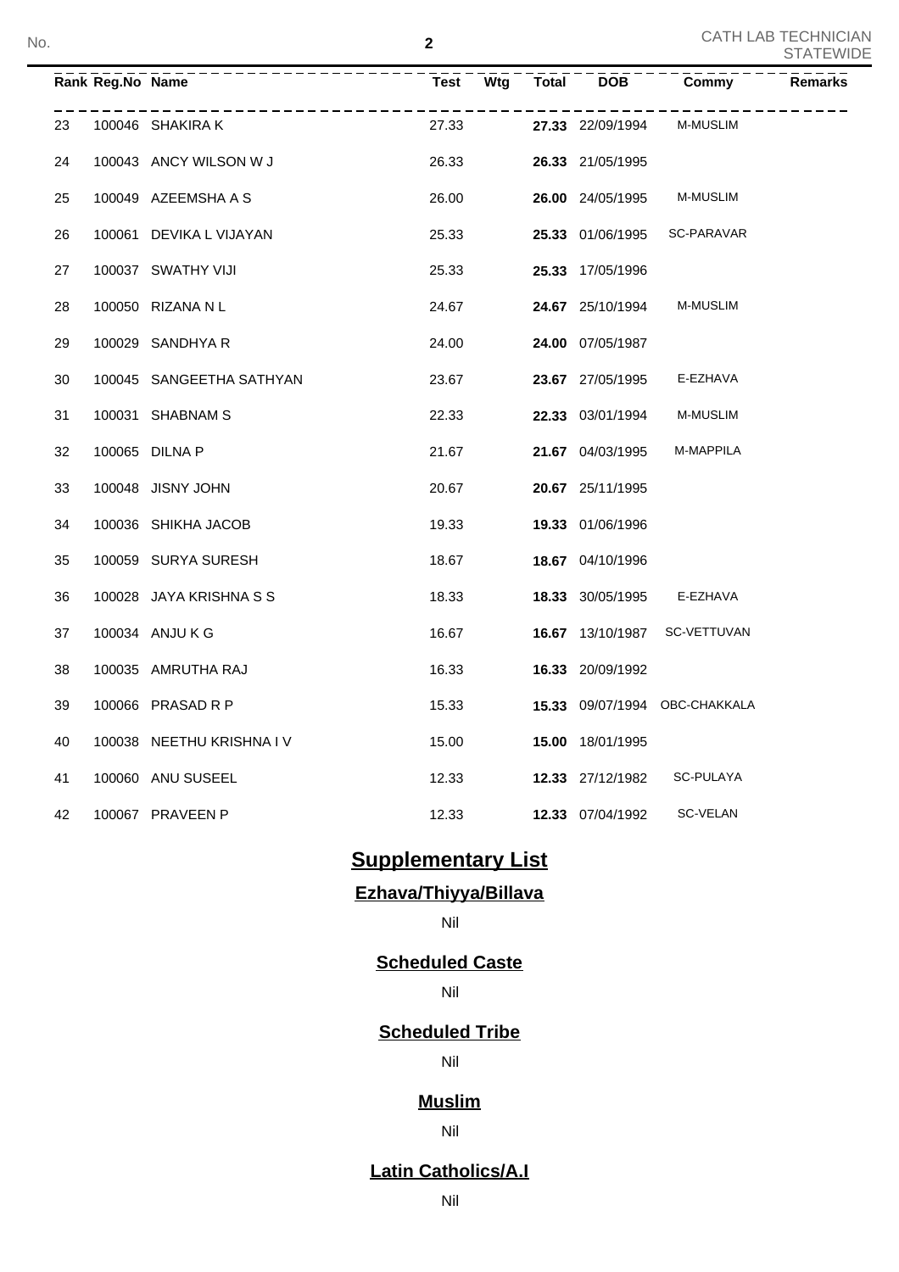| No. |    |                  |                                                   | $\mathbf{2}$ |  |                                                                                            |                               | <b>CATH LAB TECHNICIAN</b><br><b>STATEWIDE</b> |
|-----|----|------------------|---------------------------------------------------|--------------|--|--------------------------------------------------------------------------------------------|-------------------------------|------------------------------------------------|
|     |    | Rank Reg.No Name | <u>_____________________</u>                      |              |  | $T = -T$ $-\sqrt{t}$ $\frac{1}{2} - \frac{1}{2} - \frac{1}{2} - \frac{1}{2} - \frac{1}{2}$ | Commy                         | Remarks                                        |
|     | 23 |                  | - - - - - - - - - - - - - - -<br>100046 SHAKIRA K | 27.33        |  | 27.33 22/09/1994                                                                           | M-MUSLIM                      |                                                |
|     | 24 |                  | 100043 ANCY WILSON W J                            | 26.33        |  | 26.33 21/05/1995                                                                           |                               |                                                |
|     | 25 |                  | 100049 AZEEMSHA A S                               | 26.00        |  | 26.00 24/05/1995                                                                           | <b>M-MUSLIM</b>               |                                                |
|     | 26 |                  | 100061 DEVIKA L VIJAYAN                           | 25.33        |  | 25.33 01/06/1995                                                                           | <b>SC-PARAVAR</b>             |                                                |
|     | 27 |                  | 100037 SWATHY VIJI                                | 25.33        |  | 25.33 17/05/1996                                                                           |                               |                                                |
|     | 28 |                  | 100050 RIZANA N L                                 | 24.67        |  | 24.67 25/10/1994                                                                           | <b>M-MUSLIM</b>               |                                                |
|     | 29 |                  | 100029 SANDHYA R                                  | 24.00        |  | 24.00 07/05/1987                                                                           |                               |                                                |
|     | 30 |                  | 100045 SANGEETHA SATHYAN                          | 23.67        |  | 23.67 27/05/1995                                                                           | E-EZHAVA                      |                                                |
|     | 31 |                  | 100031 SHABNAM S                                  | 22.33        |  | 22.33 03/01/1994                                                                           | M-MUSLIM                      |                                                |
|     | 32 |                  | 100065 DILNA P                                    | 21.67        |  | 21.67 04/03/1995                                                                           | M-MAPPILA                     |                                                |
|     | 33 |                  | 100048 JISNY JOHN                                 | 20.67        |  | 20.67 25/11/1995                                                                           |                               |                                                |
|     | 34 |                  | 100036 SHIKHA JACOB                               | 19.33        |  | 19.33 01/06/1996                                                                           |                               |                                                |
|     | 35 |                  | 100059 SURYA SURESH                               | 18.67        |  | 18.67 04/10/1996                                                                           |                               |                                                |
|     | 36 |                  | 100028 JAYA KRISHNA S S                           | 18.33        |  | 18.33 30/05/1995                                                                           | E-EZHAVA                      |                                                |
|     | 37 |                  | 100034 ANJU K G                                   | 16.67        |  |                                                                                            | 16.67 13/10/1987 SC-VETTUVAN  |                                                |
|     | 38 |                  | 100035 AMRUTHA RAJ                                | 16.33        |  | 16.33 20/09/1992                                                                           |                               |                                                |
|     | 39 |                  | 100066 PRASAD R P                                 | 15.33        |  |                                                                                            | 15.33 09/07/1994 OBC-CHAKKALA |                                                |
|     | 40 |                  | 100038 NEETHU KRISHNA IV                          | 15.00        |  | 15.00 18/01/1995                                                                           |                               |                                                |
|     | 41 |                  | 100060 ANU SUSEEL                                 | 12.33        |  | 12.33 27/12/1982                                                                           | SC-PULAYA                     |                                                |
|     | 42 |                  | 100067 PRAVEEN P                                  | 12.33        |  | 12.33 07/04/1992                                                                           | SC-VELAN                      |                                                |

# **Supplementary List**

## **Ezhava/Thiyya/Billava**

Nil

### **Scheduled Caste**

### Nil

### **Scheduled Tribe**

Nil

# **Muslim**

Nil

# **Latin Catholics/A.I**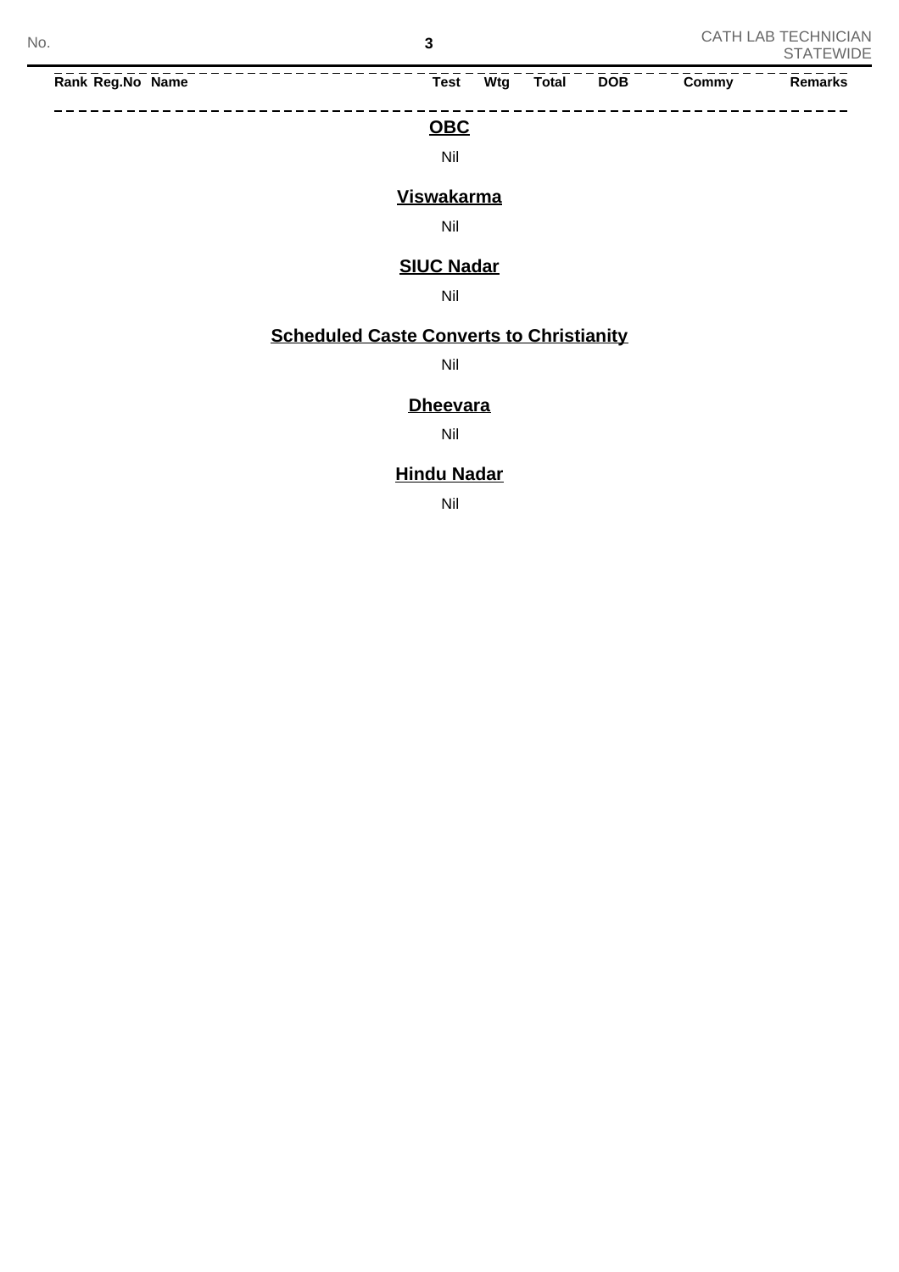----------

------------

--------

**Rank Reg.No Name Test Wtg Total DOB Commy Remarks**

#### **OBC**

### Nil

# **Viswakarma**

Nil

### **SIUC Nadar**

Nil

### **Scheduled Caste Converts to Christianity**

Nil

#### **Dheevara**

Nil

### **Hindu Nadar**

Nil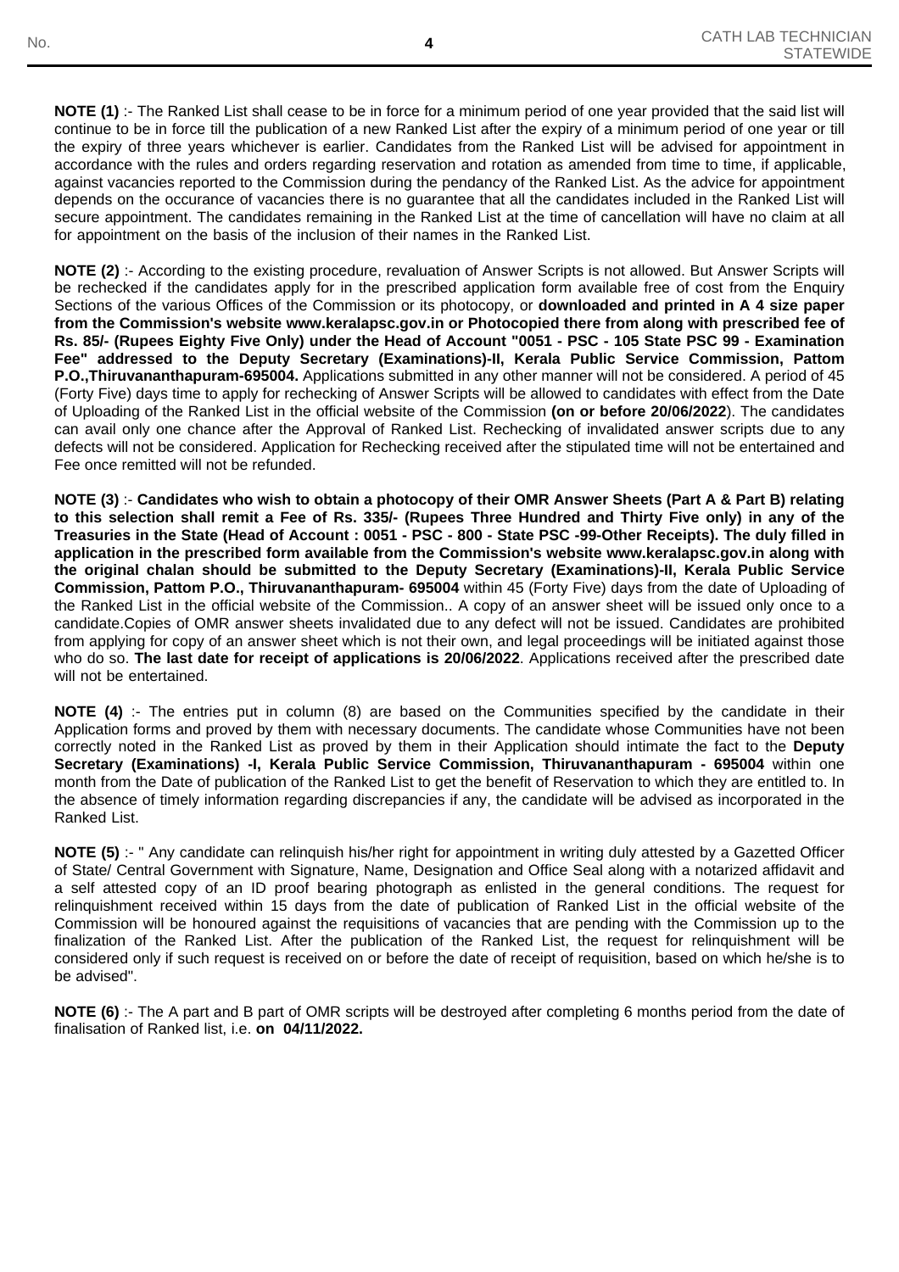**NOTE (1)** :- The Ranked List shall cease to be in force for a minimum period of one year provided that the said list will continue to be in force till the publication of a new Ranked List after the expiry of a minimum period of one year or till the expiry of three years whichever is earlier. Candidates from the Ranked List will be advised for appointment in accordance with the rules and orders regarding reservation and rotation as amended from time to time, if applicable, against vacancies reported to the Commission during the pendancy of the Ranked List. As the advice for appointment depends on the occurance of vacancies there is no guarantee that all the candidates included in the Ranked List will secure appointment. The candidates remaining in the Ranked List at the time of cancellation will have no claim at all for appointment on the basis of the inclusion of their names in the Ranked List.

**NOTE (2)** :- According to the existing procedure, revaluation of Answer Scripts is not allowed. But Answer Scripts will be rechecked if the candidates apply for in the prescribed application form available free of cost from the Enquiry Sections of the various Offices of the Commission or its photocopy, or **downloaded and printed in A 4 size paper from the Commission's website www.keralapsc.gov.in or Photocopied there from along with prescribed fee of Rs. 85/- (Rupees Eighty Five Only) under the Head of Account "0051 - PSC - 105 State PSC 99 - Examination Fee" addressed to the Deputy Secretary (Examinations)-II, Kerala Public Service Commission, Pattom P.O.,Thiruvananthapuram-695004.** Applications submitted in any other manner will not be considered. A period of 45 (Forty Five) days time to apply for rechecking of Answer Scripts will be allowed to candidates with effect from the Date of Uploading of the Ranked List in the official website of the Commission **(on or before 20/06/2022**). The candidates can avail only one chance after the Approval of Ranked List. Rechecking of invalidated answer scripts due to any defects will not be considered. Application for Rechecking received after the stipulated time will not be entertained and Fee once remitted will not be refunded.

**NOTE (3)** :- **Candidates who wish to obtain a photocopy of their OMR Answer Sheets (Part A & Part B) relating to this selection shall remit a Fee of Rs. 335/- (Rupees Three Hundred and Thirty Five only) in any of the Treasuries in the State (Head of Account : 0051 - PSC - 800 - State PSC -99-Other Receipts). The duly filled in application in the prescribed form available from the Commission's website www.keralapsc.gov.in along with the original chalan should be submitted to the Deputy Secretary (Examinations)-II, Kerala Public Service Commission, Pattom P.O., Thiruvananthapuram- 695004** within 45 (Forty Five) days from the date of Uploading of the Ranked List in the official website of the Commission.. A copy of an answer sheet will be issued only once to a candidate.Copies of OMR answer sheets invalidated due to any defect will not be issued. Candidates are prohibited from applying for copy of an answer sheet which is not their own, and legal proceedings will be initiated against those who do so. **The last date for receipt of applications is 20/06/2022**. Applications received after the prescribed date will not be entertained.

**NOTE (4)** :- The entries put in column (8) are based on the Communities specified by the candidate in their Application forms and proved by them with necessary documents. The candidate whose Communities have not been correctly noted in the Ranked List as proved by them in their Application should intimate the fact to the **Deputy Secretary (Examinations) -I, Kerala Public Service Commission, Thiruvananthapuram - 695004** within one month from the Date of publication of the Ranked List to get the benefit of Reservation to which they are entitled to. In the absence of timely information regarding discrepancies if any, the candidate will be advised as incorporated in the Ranked List.

**NOTE (5)** :- " Any candidate can relinguish his/her right for appointment in writing duly attested by a Gazetted Officer of State/ Central Government with Signature, Name, Designation and Office Seal along with a notarized affidavit and a self attested copy of an ID proof bearing photograph as enlisted in the general conditions. The request for relinquishment received within 15 days from the date of publication of Ranked List in the official website of the Commission will be honoured against the requisitions of vacancies that are pending with the Commission up to the finalization of the Ranked List. After the publication of the Ranked List, the request for relinquishment will be considered only if such request is received on or before the date of receipt of requisition, based on which he/she is to be advised".

**NOTE (6)** :- The A part and B part of OMR scripts will be destroyed after completing 6 months period from the date of finalisation of Ranked list, i.e. **on 04/11/2022.**